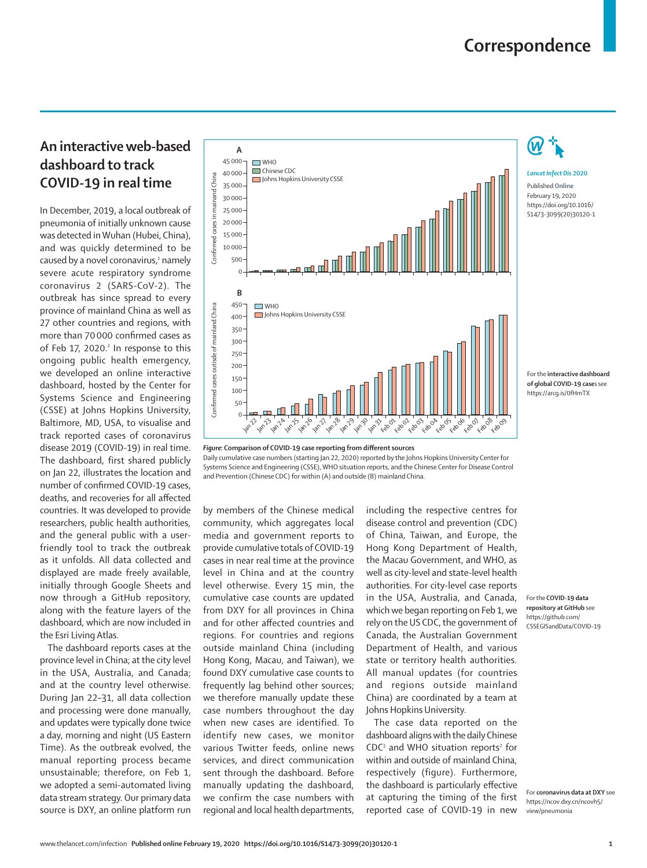## **An interactive web-based dashboard to track COVID-19 in real time**

In December, 2019, a local outbreak of pneumonia of initially unknown cause was detected in Wuhan (Hubei, China), and was quickly determined to be caused by a novel coronavirus,<sup>1</sup> namely severe acute respiratory syndrome coronavirus 2 (SARS-CoV-2). The outbreak has since spread to every province of mainland China as well as 27 other countries and regions, with more than 70 000 confirmed cases as of Feb 17, 2020.<sup>2</sup> In response to this ongoing public health emergency, we [developed](https://arcg.is/0fHmTX) an online interactive dashboard, hosted by the Center for Systems Science and Engineering (CSSE) at Johns Hopkins University, Baltimore, MD, USA, to visualise and track reported cases of coronavirus disease 2019 (COVID-19) in real time. The dashboard, first shared publicly on Jan 22, illustrates the location and number of confirmed COVID-19 cases, deaths, and recoveries for all affected countries. It was developed to provide researchers, public health authorities, and the general public with a userfriendly tool to track the outbreak as it unfolds. All data collected and displayed are made freely available, initially through Google Sheets and now through a [GitHub repository,](https://github.com/CSSEGISandData/COVID-19) along with the feature layers of the dashboard, which are now included in the Esri Living Atlas.

The dashboard reports cases at the province level in China; at the city level in the USA, Australia, and Canada; and at the country level otherwise. During Jan 22–31, all data collection and processing were done manually, and updates were typically done twice a day, morning and night (US Eastern Time). As the outbreak evolved, the manual reporting process became unsustainable; therefore, on Feb 1, we adopted a semi-automated living data stream strategy. Our primary data source is [DXY,](https://ncov.dxy.cn/ncovh5/view/pneumonia) an online platform run



*Figure***: Comparison of COVID-19 case reporting from different sources** Daily cumulative case numbers (starting Jan 22, 2020) reported by the Johns Hopkins University Center for Systems Science and Engineering (CSSE), WHO situation reports, and the Chinese Center for Disease Control and Prevention (Chinese CDC) for within (A) and outside (B) mainland China.

by members of the Chinese medical community, which aggregates local media and government reports to provide cumulative totals of COVID-19 cases in near real time at the province level in China and at the country level otherwise. Every 15 min, the cumulative case counts are updated from DXY for all provinces in China and for other affected countries and regions. For countries and regions outside mainland China (including Hong Kong, Macau, and Taiwan), we found DXY cumulative case counts to frequently lag behind other sources; we therefore manually update these case numbers throughout the day when new cases are identified. To identify new cases, we monitor various Twitter feeds, online news services, and direct communication sent through the dashboard. Before manually updating the dashboard, we confirm the case numbers with regional and local health departments,

including the respective centres for disease control and prevention (CDC) of China, Taiwan, and Europe, the Hong Kong Department of Health, the Macau Government, and WHO, as well as city-level and state-level health authorities. For city-level case reports in the USA, Australia, and Canada, which we began reporting on Feb 1, we rely on the US CDC, the government of Canada, the Australian Government Department of Health, and various [state or territory health authorities](https://www.health.gov.au/about-us/contact-us/local-state-and-territory-health-departments). All manual updates (for countries and regions outside mainland China) are coordinated by a team at Johns Hopkins University.

The case data reported on the dashboard aligns with the daily Chinese  $CDC<sup>3</sup>$  and WHO situation reports<sup>2</sup> for within and outside of mainland China, respectively (figure). Furthermore, the dashboard is particularly effective at capturing the timing of the first reported case of COVID-19 in new

For the **COVID-19 data repository at GitHub** see [https://github.com/](https://github.com/CSSEGISandData/COVID-19) [CSSEGISandData/COVID-19](https://github.com/CSSEGISandData/COVID-19)

For the **interactive dashboard of global COVID-19 case**s see <https://arcg.is/0fHmTX>

*Lancet Infect Dis* **2020** Published **Online** February 19, 2020 https://doi.org/10.1016/ S1473-3099(20)30120-1

For **coronavirus data at DXY** see [https://ncov.dxy.cn/ncovh5/](https://ncov.dxy.cn/ncovh5/view/pneumonia) [view/pneumonia](https://ncov.dxy.cn/ncovh5/view/pneumonia)